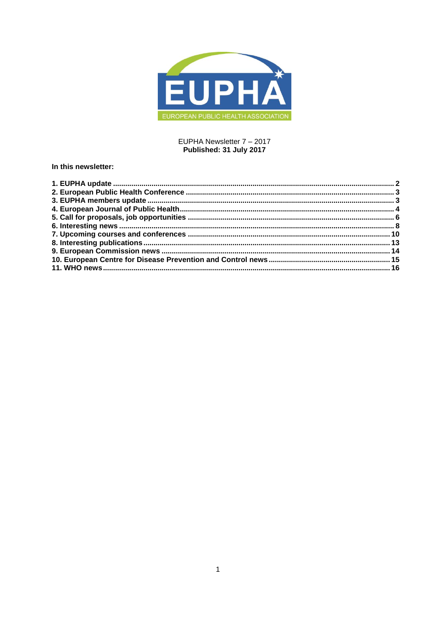

# EUPHA Newsletter 7 - 2017 Published: 31 July 2017

# In this newsletter: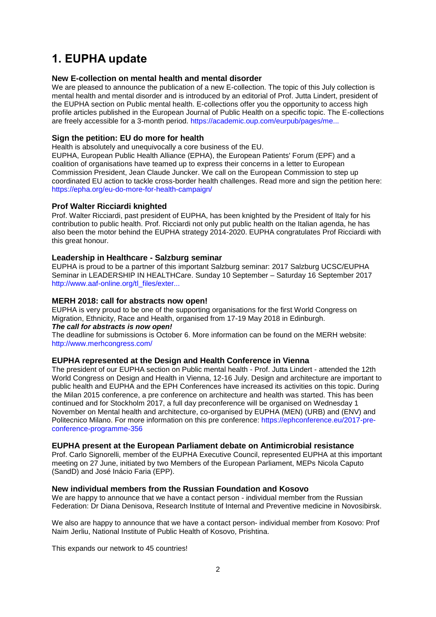# <span id="page-1-0"></span>**1. EUPHA update**

# **New E-collection on mental health and mental disorder**

We are pleased to announce the publication of a new E-collection. The topic of this July collection is mental health and mental disorder and is introduced by an editorial of Prof. Jutta Lindert, president of the EUPHA section on Public mental health. E-collections offer you the opportunity to access high profile articles published in the European Journal of Public Health on a specific topic. The E-collections are freely accessible for a 3-month period. [https://academic.oup.com/eurpub/pages/me...](https://academic.oup.com/eurpub/pages/mental_health_and_mental_disorder)

# **Sign the petition: EU do more for health**

Health is absolutely and unequivocally a core business of the EU.

EUPHA, European Public Health Alliance (EPHA), the European Patients' Forum (EPF) and a coalition of organisations have teamed up to express their concerns in a letter to European Commission President, Jean Claude Juncker. We call on the European Commission to step up coordinated EU action to tackle cross-border health challenges. Read more and sign the petition here: <https://epha.org/eu-do-more-for-health-campaign/>

# **Prof Walter Ricciardi knighted**

Prof. Walter Ricciardi, past president of EUPHA, has been knighted by the President of Italy for his contribution to public health. Prof. Ricciardi not only put public health on the Italian agenda, he has also been the motor behind the EUPHA strategy 2014-2020. EUPHA congratulates Prof Ricciardi with this great honour.

# **Leadership in Healthcare - Salzburg seminar**

EUPHA is proud to be a partner of this important Salzburg seminar: 2017 Salzburg UCSC/EUPHA Seminar in LEADERSHIP IN HEALTHCare. Sunday 10 September – Saturday 16 September 2017 [http://www.aaf-online.org/tl\\_files/exter...](http://www.aaf-online.org/tl_files/externals/downloads/seminars/docs/docs_2017/Leadership%20in%20Healthcare%20Schedule%202017.pdf)

# **MERH 2018: call for abstracts now open!**

EUPHA is very proud to be one of the supporting organisations for the first World Congress on Migration, Ethnicity, Race and Health, organised from 17-19 May 2018 in Edinburgh. *The call for abstracts is now open!*

The deadline for submissions is October 6. More information can be found on the MERH website: <http://www.merhcongress.com/>

# **EUPHA represented at the Design and Health Conference in Vienna**

The president of our EUPHA section on Public mental health - Prof. Jutta Lindert - attended the 12th World Congress on Design and Health in Vienna, 12-16 July. Design and architecture are important to public health and EUPHA and the EPH Conferences have increased its activities on this topic. During the Milan 2015 conference, a pre conference on architecture and health was started. This has been continued and for Stockholm 2017, a full day preconference will be organised on Wednesday 1 November on Mental health and architecture, co-organised by EUPHA (MEN) (URB) and (ENV) and Politecnico Milano. For more information on this pre conference: [https://ephconference.eu/2017-pre](https://ephconference.eu/2017-pre-conference-programme-356)[conference-programme-356](https://ephconference.eu/2017-pre-conference-programme-356)

# **EUPHA present at the European Parliament debate on Antimicrobial resistance**

Prof. Carlo Signorelli, member of the EUPHA Executive Council, represented EUPHA at this important meeting on 27 June, initiated by two Members of the European Parliament, MEPs Nicola Caputo (SandD) and José Inácio Faria (EPP).

# **New individual members from the Russian Foundation and Kosovo**

We are happy to announce that we have a contact person - individual member from the Russian Federation: Dr Diana Denisova, Research Institute of Internal and Preventive medicine in Novosibirsk.

We also are happy to announce that we have a contact person- individual member from Kosovo: Prof Naim Jerliu, National Institute of Public Health of Kosovo, Prishtina.

This expands our network to 45 countries!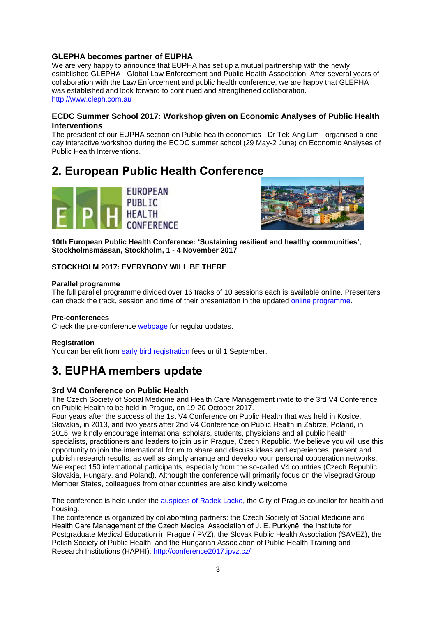# **GLEPHA becomes partner of EUPHA**

We are very happy to announce that EUPHA has set up a mutual partnership with the newly established GLEPHA - Global Law Enforcement and Public Health Association. After several years of collaboration with the Law Enforcement and public health conference, we are happy that GLEPHA was established and look forward to continued and strengthened collaboration. [http://www.cleph.com.au](http://www.cleph.com.au/)

### **ECDC Summer School 2017: Workshop given on Economic Analyses of Public Health Interventions**

The president of our EUPHA section on Public health economics - Dr Tek-Ang Lim - organised a oneday interactive workshop during the ECDC summer school (29 May-2 June) on Economic Analyses of Public Health Interventions.

# <span id="page-2-0"></span>**2. European Public Health Conference**





**10th European Public Health Conference: 'Sustaining resilient and healthy communities', Stockholmsmässan, Stockholm, 1 - 4 November 2017**

### **STOCKHOLM 2017: EVERYBODY WILL BE THERE**

#### **Parallel programme**

The full parallel programme divided over 16 tracks of 10 sessions each is available online. Presenters can check the track, session and time of their presentation in the updated [online programme.](https://ephconference.eu/dynamic-programme-4)

#### **Pre-conferences**

Check the pre-conference [webpage](https://ephconference.eu/2017-pre-conference-programme-327) for regular updates.

#### **Registration**

You can benefit from [early bird registration](https://ephconference.eu/registration-2017---register-314) fees until 1 September.

# <span id="page-2-1"></span>**3. EUPHA members update**

# **3rd V4 Conference on Public Health**

The Czech Society of Social Medicine and Health Care Management invite to the 3rd V4 Conference on Public Health to be held in Prague, on 19-20 October 2017.

Four years after the success of the 1st V4 Conference on Public Health that was held in Kosice, Slovakia, in 2013, and two years after 2nd V4 Conference on Public Health in Zabrze, Poland, in 2015, we kindly encourage international scholars, students, physicians and all public health specialists, practitioners and leaders to join us in Prague, Czech Republic. We believe you will use this opportunity to join the international forum to share and discuss ideas and experiences, present and publish research results, as well as simply arrange and develop your personal cooperation networks. We expect 150 international participants, especially from the so-called V4 countries (Czech Republic, Slovakia, Hungary, and Poland). Although the conference will primarily focus on the Visegrad Group Member States, colleagues from other countries are also kindly welcome!

The conference is held under the [auspices of Radek Lacko,](http://conference2017.ipvz.cz/sites/default/files/zastita.pdf) the City of Prague councilor for health and housing.

The conference is organized by collaborating partners: the Czech Society of Social Medicine and Health Care Management of the Czech Medical Association of J. E. Purkyně, the Institute for Postgraduate Medical Education in Prague (IPVZ), the Slovak Public Health Association (SAVEZ), the Polish Society of Public Health, and the Hungarian Association of Public Health Training and Research Institutions (HAPHI). <http://conference2017.ipvz.cz/>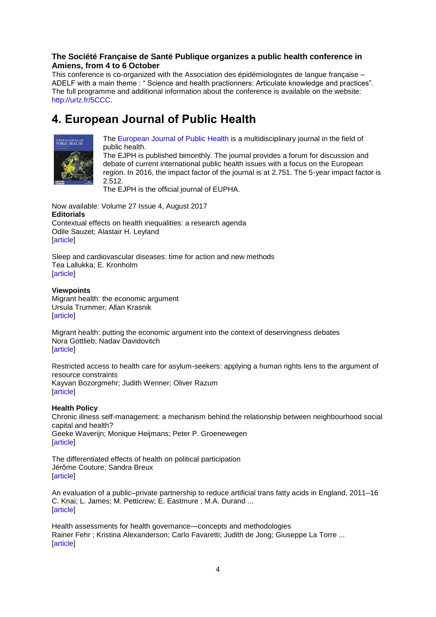# **The Société Française de Santé Publique organizes a public health conference in Amiens, from 4 to 6 October**

This conference is co-organized with the Association des épidémiologistes de langue française – ADELF with a main theme : " Science and health practionners: Articulate knowledge and practices". The full programme and additional information about the conference is available on the website: [http://urlz.fr/5CCC.](http://urlz.fr/5CCC)

# <span id="page-3-0"></span>**4. European Journal of Public Health**



[The European Journal of Public Health](http://eurpub.oxfordjournals.org/) is a multidisciplinary journal in the field of public health.

The EJPH is published bimonthly. The journal provides a forum for discussion and debate of current international public health issues with a focus on the European region. In 2016, the impact factor of the journal is at 2.751. The 5-year impact factor is 2.512.

The EJPH is the official journal of EUPHA.

Now available: Volume 27 Issue 4, August 2017 **Editorials** Contextual effects on health inequalities: a research agenda Odile Sauzet; Alastair H. Leyland [\[article\]](http://click.skem1.com/click/hpktn-baglzj-6nsjr1i8/)

Sleep and cardiovascular diseases: time for action and new methods Tea Lallukka; E. Kronholm [\[article\]](http://click.skem1.com/click/hpktn-baglzm-6nsjr1i1/)

# **Viewpoints**

Migrant health: the economic argument Ursula Trummer; Allan Krasnik [\[article\]](http://click.skem1.com/click/hpktn-baglzp-6nsjr1i4/)

Migrant health: putting the economic argument into the context of deservingness debates Nora Gottlieb; Nadav Davidovitch **[\[article\]](http://click.skem1.com/click/hpktn-baglzs-6nsjr1i7/)** 

Restricted access to health care for asylum-seekers: applying a human rights lens to the argument of resource constraints Kayvan Bozorgmehr; Judith Wenner; Oliver Razum [\[article\]](http://click.skem1.com/click/hpktn-baglzv-6nsjr1i0/)

# **Health Policy**

Chronic illness self-management: a mechanism behind the relationship between neighbourhood social capital and health? Geeke Waverijn; Monique Heijmans; Peter P. Groenewegen **Tarticle1** 

The differentiated effects of health on political participation Jérôme Couture; Sandra Breux [\[article\]](http://click.skem1.com/click/hpktn-bagm03-6nsjr1i0/)

An evaluation of a public–private partnership to reduce artificial trans fatty acids in England, 2011–16 [C. Knai;](http://click.skem1.com/click/hpktn-bagm07-6nsjr1i4/) L. James; [M. Petticrew;](http://click.skem1.com/click/hpktn-bagm09-6nsjr1i6/) [E. Eastmure](http://click.skem1.com/click/hpktn-bagm0a-6nsjr1i6/) ; [M.A. Durand](http://click.skem1.com/click/hpktn-bagm0b-6nsjr1i7/) ... [\[article\]](http://click.skem1.com/click/hpktn-bagm08-6nsjr1i5/)

Health assessments for health governance—concepts and methodologies [Rainer Fehr](http://click.skem1.com/click/hpktn-bagm0d-6nsjr1i9/) ; [Kristina Alexanderson;](http://click.skem1.com/click/hpktn-bagm0e-6nsjr1i0/) [Carlo Favaretti;](http://click.skem1.com/click/hpktn-bagm0f-6nsjr1i1/) [Judith de Jong;](http://click.skem1.com/click/hpktn-bagm0g-6nsjr1i2/) [Giuseppe La Torre](http://click.skem1.com/click/hpktn-bagm0h-6nsjr1i3/) ... [\[article\]](http://click.skem1.com/click/hpktn-bagm0c-6nsjr1i8/)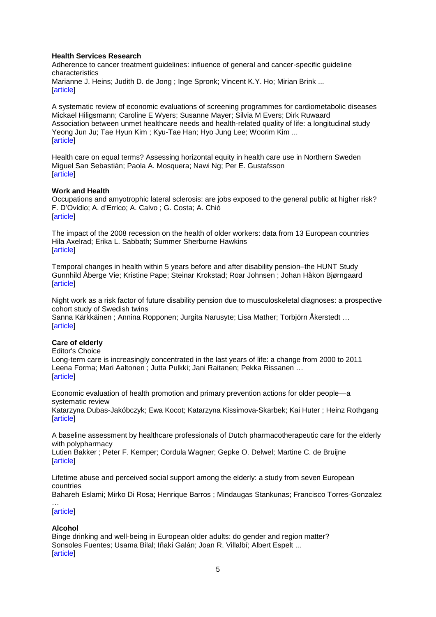#### **Health Services Research**

Adherence to cancer treatment guidelines: influence of general and cancer-specific guideline characteristics [Marianne J. Heins;](http://click.skem1.com/click/hpktn-bagm0j-6nsjr1i5/) [Judith D. de Jong](http://click.skem1.com/click/hpktn-bagm0k-6nsjr1i6/) ; [Inge Spronk;](http://click.skem1.com/click/hpktn-bagm0l-6nsjr1i7/) [Vincent K.Y. Ho;](http://click.skem1.com/click/hpktn-bagm0m-6nsjr1i8/) [Mirian Brink](http://click.skem1.com/click/hpktn-bagm0n-6nsjr1i9/) ... **Tarticle1** 

A systematic review of economic evaluations of screening programmes for cardiometabolic diseases [Mickael Hiligsmann;](http://click.skem1.com/click/hpktn-bagm0p-6nsjr1i1/) [Caroline E Wyers;](http://click.skem1.com/click/hpktn-bagm0q-6nsjr1i2/) [Susanne Mayer;](http://click.skem1.com/click/hpktn-bagm0r-6nsjr1i3/) [Silvia M Evers;](http://click.skem1.com/click/hpktn-bagm0s-6nsjr1i4/) [Dirk Ruwaard](http://click.skem1.com/click/hpktn-bagm0t-6nsjr1i5/) Association between unmet healthcare needs and health-related quality of life: a longitudinal study [Yeong Jun Ju;](http://click.skem1.com/click/hpktn-bagm0v-6nsjr1i7/) [Tae Hyun Kim](http://click.skem1.com/click/hpktn-bagm0w-6nsjr1i8/) ; [Kyu-Tae Han;](http://click.skem1.com/click/hpktn-bagm0x-6nsjr1i9/) [Hyo Jung Lee;](http://click.skem1.com/click/hpktn-bagm0y-6nsjr1i0/) [Woorim Kim](http://click.skem1.com/click/hpktn-bagm0z-6nsjr1i1/) ... [\[article\]](http://click.skem1.com/click/hpktn-bagm0u-6nsjr1i6/)

Health care on equal terms? Assessing horizontal equity in health care use in Northern Sweden [Miguel San Sebastián;](http://click.skem1.com/click/hpktn-bagm11-6nsjr1i9/) [Paola A. Mosquera;](http://click.skem1.com/click/hpktn-bagm12-6nsjr1i0/) [Nawi Ng;](http://click.skem1.com/click/hpktn-bagm13-6nsjr1i1/) [Per E. Gustafsson](http://click.skem1.com/click/hpktn-bagm14-6nsjr1i2/) **[\[article\]](http://click.skem1.com/click/hpktn-bagm10-6nsjr1i8/)** 

### **Work and Health**

Occupations and amyotrophic lateral sclerosis: are jobs exposed to the general public at higher risk? [F. D'Ovidio;](http://click.skem1.com/click/hpktn-bagm16-6nsjr1i4/) [A. d'Errico;](http://click.skem1.com/click/hpktn-bagm17-6nsjr1i5/) [A. Calvo](http://click.skem1.com/click/hpktn-bagm18-6nsjr1i6/) ; [G. Costa;](http://click.skem1.com/click/hpktn-bagm19-6nsjr1i7/) [A. Chiò](http://click.skem1.com/click/hpktn-bagm1a-6nsjr1i7/) **[\[article\]](http://click.skem1.com/click/hpktn-bagm15-6nsjr1i3/)** 

The impact of the 2008 recession on the health of older workers: data from 13 European countries [Hila Axelrad;](http://click.skem1.com/click/hpktn-bagm1c-6nsjr1i9/) [Erika L. Sabbath;](http://click.skem1.com/click/hpktn-bagm1d-6nsjr1i0/) [Summer Sherburne Hawkins](http://click.skem1.com/click/hpktn-bagm1e-6nsjr1i1/) [\[article\]](http://click.skem1.com/click/hpktn-bagm1b-6nsjr1i8/)

Temporal changes in health within 5 years before and after disability pension–the HUNT Study [Gunnhild Åberge Vie;](http://click.skem1.com/click/hpktn-bagm1g-6nsjr1i3/) [Kristine Pape;](http://click.skem1.com/click/hpktn-bagm1h-6nsjr1i4/) [Steinar Krokstad;](http://click.skem1.com/click/hpktn-bagm1i-6nsjr1i5/) [Roar Johnsen](http://click.skem1.com/click/hpktn-bagm1j-6nsjr1i6/) ; [Johan Håkon Bjørngaard](http://click.skem1.com/click/hpktn-bagm1k-6nsjr1i7/) [\[article\]](http://click.skem1.com/click/hpktn-bagm1f-6nsjr1i2/)

Night work as a risk factor of future disability pension due to musculoskeletal diagnoses: a prospective cohort study of Swedish twins [Sanna Kärkkäinen](http://click.skem1.com/click/hpktn-bagm1m-6nsjr1i9/) ; [Annina Ropponen;](http://click.skem1.com/click/hpktn-bagm1n-6nsjr1i0/) [Jurgita Narusyte;](http://click.skem1.com/click/hpktn-bagm1o-6nsjr1i1/) [Lisa Mather;](http://click.skem1.com/click/hpktn-bagm1p-6nsjr1i2/) [Torbjörn Åkerstedt](http://click.skem1.com/click/hpktn-bagm1q-6nsjr1i3/) …

# [\[article\]](http://click.skem1.com/click/hpktn-bagm1l-6nsjr1i8/)

#### **Care of elderly**

Editor's Choice

Long-term care is increasingly concentrated in the last years of life: a change from 2000 to 2011 [Leena Forma;](http://click.skem1.com/click/hpktn-bagm1s-6nsjr1i5/) [Mari Aaltonen](http://click.skem1.com/click/hpktn-bagm1t-6nsjr1i6/) ; [Jutta Pulkki;](http://click.skem1.com/click/hpktn-bagm1u-6nsjr1i7/) [Jani Raitanen;](http://click.skem1.com/click/hpktn-bagm1v-6nsjr1i8/) [Pekka Rissanen](http://click.skem1.com/click/hpktn-bagm1w-6nsjr1i9/) … [\[article\]](http://click.skem1.com/click/hpktn-bagm1r-6nsjr1i4/)

Economic evaluation of health promotion and primary prevention actions for older people—a systematic review [Katarzyna Dubas-Jakóbczyk;](http://click.skem1.com/click/hpktn-bagm1y-6nsjr1i1/) [Ewa Kocot;](http://click.skem1.com/click/hpktn-bagm1z-6nsjr1i2/) [Katarzyna Kissimova-Skarbek;](http://click.skem1.com/click/hpktn-bagm20-6nsjr1i9/) [Kai Huter](http://click.skem1.com/click/hpktn-bagm21-6nsjr1i0/) ; [Heinz Rothgang](http://click.skem1.com/click/hpktn-bagm22-6nsjr1i1/)

[\[article\]](http://click.skem1.com/click/hpktn-bagm1x-6nsjr1i0/)

A baseline assessment by healthcare professionals of Dutch pharmacotherapeutic care for the elderly with polypharmacy

[Lutien Bakker](http://click.skem1.com/click/hpktn-bagm24-6nsjr1i3/) ; [Peter F. Kemper;](http://click.skem1.com/click/hpktn-bagm25-6nsjr1i4/) [Cordula Wagner;](http://click.skem1.com/click/hpktn-bagm26-6nsjr1i5/) [Gepke O. Delwel;](http://click.skem1.com/click/hpktn-bagm27-6nsjr1i6/) [Martine C. de Bruijne](http://click.skem1.com/click/hpktn-bagm28-6nsjr1i7/) [\[article\]](http://click.skem1.com/click/hpktn-bagm23-6nsjr1i2/)

Lifetime abuse and perceived social support among the elderly: a study from seven European countries

[Bahareh Eslami;](http://click.skem1.com/click/hpktn-bagm2a-6nsjr1i8/) [Mirko Di Rosa;](http://click.skem1.com/click/hpktn-bagm2b-6nsjr1i9/) [Henrique Barros](http://click.skem1.com/click/hpktn-bagm2c-6nsjr1i0/) ; [Mindaugas Stankunas;](http://click.skem1.com/click/hpktn-bagm2d-6nsjr1i1/) [Francisco Torres-Gonzalez](http://click.skem1.com/click/hpktn-bagm2e-6nsjr1i2/)

#### … [\[article\]](http://click.skem1.com/click/hpktn-bagm29-6nsjr1i8/)

# **Alcohol**

Binge drinking and well-being in European older adults: do gender and region matter? [Sonsoles Fuentes;](http://click.skem1.com/click/hpktn-bagm2g-6nsjr1i4/) [Usama Bilal;](http://click.skem1.com/click/hpktn-bagm2h-6nsjr1i5/) [Iñaki Galán;](http://click.skem1.com/click/hpktn-bagm2i-6nsjr1i6/) [Joan R. Villalbí;](http://click.skem1.com/click/hpktn-bagm2j-6nsjr1i7/) [Albert Espelt](http://click.skem1.com/click/hpktn-bagm2k-6nsjr1i8/) ... [\[article\]](http://click.skem1.com/click/hpktn-bagm2f-6nsjr1i3/)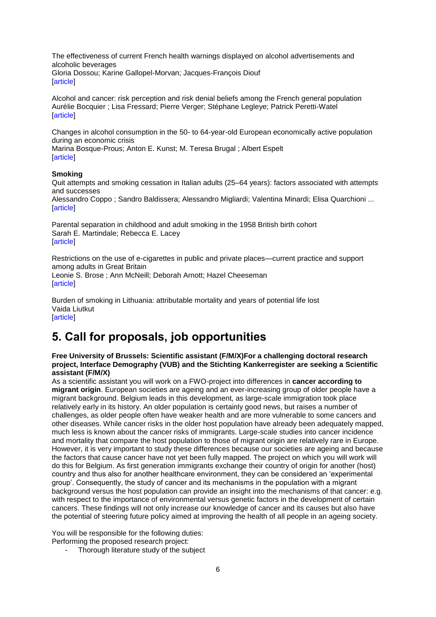The effectiveness of current French health warnings displayed on alcohol advertisements and alcoholic beverages [Gloria Dossou;](http://click.skem1.com/click/hpktn-bagm2m-6nsjr1i0/) [Karine Gallopel-Morvan;](http://click.skem1.com/click/hpktn-bagm2n-6nsjr1i1/) [Jacques-François Diouf](http://click.skem1.com/click/hpktn-bagm2o-6nsjr1i2/) [\[article\]](http://click.skem1.com/click/hpktn-bagm2l-6nsjr1i9/)

Alcohol and cancer: risk perception and risk denial beliefs among the French general population [Aurélie Bocquier](http://click.skem1.com/click/hpktn-bagm2q-6nsjr1i4/) ; [Lisa Fressard;](http://click.skem1.com/click/hpktn-bagm2r-6nsjr1i5/) [Pierre Verger;](http://click.skem1.com/click/hpktn-bagm2s-6nsjr1i6/) [Stéphane Legleye;](http://click.skem1.com/click/hpktn-bagm2t-6nsjr1i7/) [Patrick Peretti-Watel](http://click.skem1.com/click/hpktn-bagm2u-6nsjr1i8/) [\[article\]](http://click.skem1.com/click/hpktn-bagm2p-6nsjr1i3/)

Changes in alcohol consumption in the 50- to 64-year-old European economically active population during an economic crisis [Marina Bosque-Prous;](http://click.skem1.com/click/hpktn-bagm2w-6nsjr1i0/) [Anton E. Kunst;](http://click.skem1.com/click/hpktn-bagm2x-6nsjr1i1/) [M. Teresa Brugal](http://click.skem1.com/click/hpktn-bagm2y-6nsjr1i2/) ; [Albert Espelt](http://click.skem1.com/click/hpktn-bagm2z-6nsjr1i3/) [\[article\]](http://click.skem1.com/click/hpktn-bagm2v-6nsjr1i9/)

### **Smoking**

Quit attempts and smoking cessation in Italian adults (25–64 years): factors associated with attempts and successes

[Alessandro Coppo](http://click.skem1.com/click/hpktn-bagm31-6nsjr1i1/) ; [Sandro Baldissera;](http://click.skem1.com/click/hpktn-bagm32-6nsjr1i2/) [Alessandro Migliardi;](http://click.skem1.com/click/hpktn-bagm33-6nsjr1i3/) [Valentina Minardi;](http://click.skem1.com/click/hpktn-bagm34-6nsjr1i4/) [Elisa Quarchioni](http://click.skem1.com/click/hpktn-bagm35-6nsjr1i5/) ... [\[article\]](http://click.skem1.com/click/hpktn-bagm30-6nsjr1i0/)

Parental separation in childhood and adult smoking in the 1958 British birth cohort [Sarah E. Martindale;](http://click.skem1.com/click/hpktn-bagm37-6nsjr1i7/) [Rebecca E. Lacey](http://click.skem1.com/click/hpktn-bagm38-6nsjr1i8/) [\[article\]](http://click.skem1.com/click/hpktn-bagm36-6nsjr1i6/)

Restrictions on the use of e-cigarettes in public and private places—current practice and support among adults in Great Britain [Leonie S. Brose](http://click.skem1.com/click/hpktn-bagm3a-6nsjr1i9/) ; [Ann McNeill;](http://click.skem1.com/click/hpktn-bagm3b-6nsjr1i0/) [Deborah Arnott;](http://click.skem1.com/click/hpktn-bagm3c-6nsjr1i1/) [Hazel Cheeseman](http://click.skem1.com/click/hpktn-bagm3d-6nsjr1i2/) [\[article\]](http://click.skem1.com/click/hpktn-bagm39-6nsjr1i9/)

Burden of smoking in Lithuania: attributable mortality and years of potential life lost Vaida Liutkut **[\[article\]](http://click.skem1.com/click/hpktn-bagm3e-6nsjr1i3/)** 

# <span id="page-5-0"></span>**5. Call for proposals, job opportunities**

**Free University of Brussels: Scientific assistant (F/M/X)For a challenging doctoral research project, Interface Demography (VUB) and the Stichting Kankerregister are seeking a Scientific assistant (F/M/X)**

As a scientific assistant you will work on a FWO-project into differences in **cancer according to migrant origin**. European societies are ageing and an ever-increasing group of older people have a migrant background. Belgium leads in this development, as large-scale immigration took place relatively early in its history. An older population is certainly good news, but raises a number of challenges, as older people often have weaker health and are more vulnerable to some cancers and other diseases. While cancer risks in the older host population have already been adequately mapped, much less is known about the cancer risks of immigrants. Large-scale studies into cancer incidence and mortality that compare the host population to those of migrant origin are relatively rare in Europe. However, it is very important to study these differences because our societies are ageing and because the factors that cause cancer have not yet been fully mapped. The project on which you will work will do this for Belgium. As first generation immigrants exchange their country of origin for another (host) country and thus also for another healthcare environment, they can be considered an 'experimental group'. Consequently, the study of cancer and its mechanisms in the population with a migrant background versus the host population can provide an insight into the mechanisms of that cancer: e.g. with respect to the importance of environmental versus genetic factors in the development of certain cancers. These findings will not only increase our knowledge of cancer and its causes but also have the potential of steering future policy aimed at improving the health of all people in an ageing society.

You will be responsible for the following duties: Performing the proposed research project:

- Thorough literature study of the subject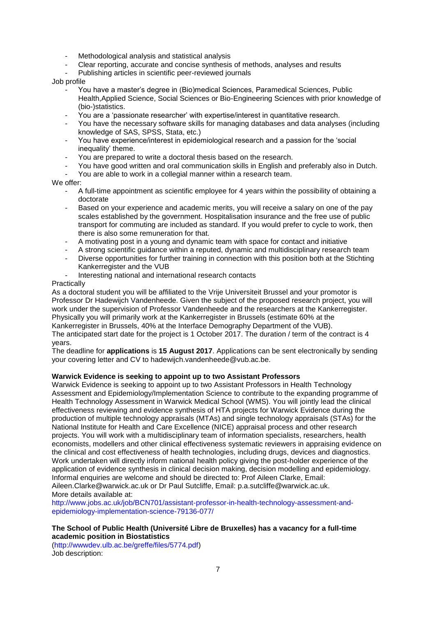- Methodological analysis and statistical analysis
- Clear reporting, accurate and concise synthesis of methods, analyses and results
- Publishing articles in scientific peer-reviewed journals

#### Job profile

- You have a master's degree in (Bio)medical Sciences, Paramedical Sciences, Public Health,Applied Science, Social Sciences or Bio-Engineering Sciences with prior knowledge of (bio-)statistics.
- You are a 'passionate researcher' with expertise/interest in quantitative research.
- You have the necessary software skills for managing databases and data analyses (including knowledge of SAS, SPSS, Stata, etc.)
- You have experience/interest in epidemiological research and a passion for the 'social inequality' theme.
- You are prepared to write a doctoral thesis based on the research.
- You have good written and oral communication skills in English and preferably also in Dutch.
- You are able to work in a collegial manner within a research team.

### We offer:

- A full-time appointment as scientific employee for 4 years within the possibility of obtaining a doctorate
- Based on your experience and academic merits, you will receive a salary on one of the pay scales established by the government. Hospitalisation insurance and the free use of public transport for commuting are included as standard. If you would prefer to cycle to work, then there is also some remuneration for that.
- A motivating post in a young and dynamic team with space for contact and initiative
- A strong scientific guidance within a reputed, dynamic and multidisciplinary research team
- Diverse opportunities for further training in connection with this position both at the Stichting Kankerregister and the VUB
- Interesting national and international research contacts

### **Practically**

As a doctoral student you will be affiliated to the Vrije Universiteit Brussel and your promotor is Professor Dr Hadewijch Vandenheede. Given the subject of the proposed research project, you will work under the supervision of Professor Vandenheede and the researchers at the Kankerregister. Physically you will primarily work at the Kankerregister in Brussels (estimate 60% at the Kankerregister in Brussels, 40% at the Interface Demography Department of the VUB). The anticipated start date for the project is 1 October 2017. The duration / term of the contract is 4 years.

The deadline for **applications** is **15 August 2017**. Applications can be sent electronically by sending your covering letter and CV to hadewijch.vandenheede@vub.ac.be.

#### **Warwick Evidence is seeking to appoint up to two Assistant Professors**

Warwick Evidence is seeking to appoint up to two Assistant Professors in Health Technology Assessment and Epidemiology/Implementation Science to contribute to the expanding programme of Health Technology Assessment in Warwick Medical School (WMS). You will jointly lead the clinical effectiveness reviewing and evidence synthesis of HTA projects for Warwick Evidence during the production of multiple technology appraisals (MTAs) and single technology appraisals (STAs) for the National Institute for Health and Care Excellence (NICE) appraisal process and other research projects. You will work with a multidisciplinary team of information specialists, researchers, health economists, modellers and other clinical effectiveness systematic reviewers in appraising evidence on the clinical and cost effectiveness of health technologies, including drugs, devices and diagnostics. Work undertaken will directly inform national health policy giving the post-holder experience of the application of evidence synthesis in clinical decision making, decision modelling and epidemiology. Informal enquiries are welcome and should be directed to: Prof Aileen Clarke, Email: Aileen.Clarke@warwick.ac.uk or Dr Paul Sutcliffe, Email: p.a.sutcliffe@warwick.ac.uk. More details available at:

[http://www.jobs.ac.uk/job/BCN701/assistant-professor-in-health-technology-assessment-and](http://www.jobs.ac.uk/job/BCN701/assistant-professor-in-health-technology-assessment-and-epidemiology-implementation-science-79136-077/)[epidemiology-implementation-science-79136-077/](http://www.jobs.ac.uk/job/BCN701/assistant-professor-in-health-technology-assessment-and-epidemiology-implementation-science-79136-077/)

#### **The School of Public Health (Université Libre de Bruxelles) has a vacancy for a full-time academic position in Biostatistics**

[\(http://wwwdev.ulb.ac.be/greffe/files/5774.pdf\)](http://wwwdev.ulb.ac.be/greffe/files/5774.pdf) Job description: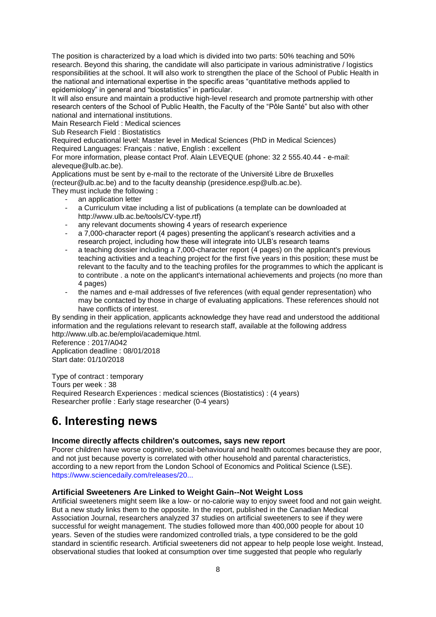The position is characterized by a load which is divided into two parts: 50% teaching and 50% research. Beyond this sharing, the candidate will also participate in various administrative / logistics responsibilities at the school. It will also work to strengthen the place of the School of Public Health in the national and international expertise in the specific areas "quantitative methods applied to epidemiology" in general and "biostatistics" in particular.

It will also ensure and maintain a productive high-level research and promote partnership with other research centers of the School of Public Health, the Faculty of the "Pôle Santé" but also with other national and international institutions.

Main Research Field : Medical sciences

Sub Research Field : Biostatistics

Required educational level: Master level in Medical Sciences (PhD in Medical Sciences) Required Languages: Français : native, English : excellent

For more information, please contact Prof. Alain LEVEQUE (phone: 32 2 555.40.44 - e-mail: aleveque@ulb.ac.be).

Applications must be sent by e-mail to the rectorate of the Université Libre de Bruxelles (recteur@ulb.ac.be) and to the faculty deanship (presidence.esp@ulb.ac.be).

They must include the following :

- an application letter
- a Curriculum vitae including a list of publications (a template can be downloaded at http://www.ulb.ac.be/tools/CV-type.rtf)
- any relevant documents showing 4 years of research experience
- a 7,000-character report (4 pages) presenting the applicant's research activities and a research project, including how these will integrate into ULB's research teams
- a teaching dossier including a 7,000-character report (4 pages) on the applicant's previous teaching activities and a teaching project for the first five years in this position; these must be relevant to the faculty and to the teaching profiles for the programmes to which the applicant is to contribute . a note on the applicant's international achievements and projects (no more than 4 pages)
- the names and e-mail addresses of five references (with equal gender representation) who may be contacted by those in charge of evaluating applications. These references should not have conflicts of interest.

By sending in their application, applicants acknowledge they have read and understood the additional information and the regulations relevant to research staff, available at the following address http://www.ulb.ac.be/emploi/academique.html.

Reference : 2017/A042 Application deadline : 08/01/2018 Start date: 01/10/2018

Type of contract : temporary Tours per week : 38 Required Research Experiences : medical sciences (Biostatistics) : (4 years) Researcher profile : Early stage researcher (0-4 years)

# <span id="page-7-0"></span>**6. Interesting news**

# **Income directly affects children's outcomes, says new report**

Poorer children have worse cognitive, social-behavioural and health outcomes because they are poor, and not just because poverty is correlated with other household and parental characteristics, according to a new report from the London School of Economics and Political Science (LSE). [https://www.sciencedaily.com/releases/20...](https://www.sciencedaily.com/releases/2017/07/170712084747.htm?utm_source=feedburner&utm_medium=email&utm_campaign=Feed%3A+sciencedaily%2Fscience_society%2Fpublic_health+%28Public+Health+News+--+Scien)

# **Artificial Sweeteners Are Linked to Weight Gain--Not Weight Loss**

Artificial sweeteners might seem like a low- or no-calorie way to enjoy sweet food and not gain weight. But a new study links them to the opposite. In the report, published in the Canadian Medical Association Journal, researchers analyzed 37 studies on artificial sweeteners to see if they were successful for weight management. The studies followed more than 400,000 people for about 10 years. Seven of the studies were randomized controlled trials, a type considered to be the gold standard in scientific research. Artificial sweeteners did not appear to help people lose weight. Instead, observational studies that looked at consumption over time suggested that people who regularly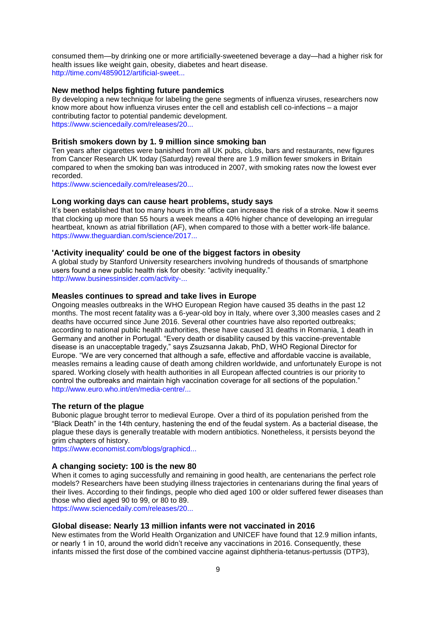consumed them—by drinking one or more artificially-sweetened beverage a day—had a higher risk for health issues like weight gain, obesity, diabetes and heart disease. [http://time.com/4859012/artificial-sweet...](http://time.com/4859012/artificial-sweeteners-weight-loss/)

#### **New method helps fighting future pandemics**

By developing a new technique for labeling the gene segments of influenza viruses, researchers now know more about how influenza viruses enter the cell and establish cell co-infections – a major contributing factor to potential pandemic development. [https://www.sciencedaily.com/releases/20...](https://www.sciencedaily.com/releases/2017/07/170705151649.htm?utm_source=feedburner&utm_medium=email&utm_campaign=Feed%3A+sciencedaily%2Fscience_society%2Fpublic_health+%28Public+Health+News+--+Scien)

#### **British smokers down by 1. 9 million since smoking ban**

Ten years after cigarettes were banished from all UK pubs, clubs, bars and restaurants, new figures from Cancer Research UK today (Saturday) reveal there are 1.9 million fewer smokers in Britain compared to when the smoking ban was introduced in 2007, with smoking rates now the lowest ever recorded.

[https://www.sciencedaily.com/releases/20...](https://www.sciencedaily.com/releases/2017/07/170701081722.htm?utm_source=feedburner&utm_medium=email&utm_campaign=Feed%3A+sciencedaily%2Fscience_society%2Fpublic_health+%28Public+Health+News+--+Scien)

#### **Long working days can cause heart problems, study says**

It's been established that too many hours in the office can increase the risk of a stroke. Now it seems that clocking up more than 55 hours a week means a 40% higher chance of developing an irregular heartbeat, known as atrial fibrillation (AF), when compared to those with a better work-life balance. [https://www.theguardian.com/science/2017...](https://www.theguardian.com/science/2017/jul/14/long-working-days-can-cause-heart-problems-study-says)

#### **'Activity inequality' could be one of the biggest factors in obesity**

A global study by Stanford University researchers involving hundreds of thousands of smartphone users found a new public health risk for obesity: "activity inequality." [http://www.businessinsider.com/activity-...](http://www.businessinsider.com/activity-inequality-causes-of-obesity-stanford-2017-7?IR=T)

#### **Measles continues to spread and take lives in Europe**

Ongoing measles outbreaks in the WHO European Region have caused 35 deaths in the past 12 months. The most recent fatality was a 6-year-old boy in Italy, where over 3,300 measles cases and 2 deaths have occurred since June 2016. Several other countries have also reported outbreaks; according to national public health authorities, these have caused 31 deaths in Romania, 1 death in Germany and another in Portugal. "Every death or disability caused by this vaccine-preventable disease is an unacceptable tragedy," says Zsuzsanna Jakab, PhD, WHO Regional Director for Europe. "We are very concerned that although a safe, effective and affordable vaccine is available, measles remains a leading cause of death among children worldwide, and unfortunately Europe is not spared. Working closely with health authorities in all European affected countries is our priority to control the outbreaks and maintain high vaccination coverage for all sections of the population." [http://www.euro.who.int/en/media-centre/...](http://www.euro.who.int/en/media-centre/sections/press-releases/2017/measles-continues-to-spread-and-take-lives-in-europe)

#### **The return of the plague**

Bubonic plague brought terror to medieval Europe. Over a third of its population perished from the ―Black Death‖ in the 14th century, hastening the end of the feudal system. As a bacterial disease, the plague these days is generally treatable with modern antibiotics. Nonetheless, it persists beyond the grim chapters of history.

[https://www.economist.com/blogs/graphicd...](https://www.economist.com/blogs/graphicdetail/2017/07/daily-chart-1)

#### **A changing society: 100 is the new 80**

When it comes to aging successfully and remaining in good health, are centenarians the perfect role models? Researchers have been studying illness trajectories in centenarians during the final years of their lives. According to their findings, people who died aged 100 or older suffered fewer diseases than those who died aged 90 to 99, or 80 to 89.

[https://www.sciencedaily.com/releases/20...](https://www.sciencedaily.com/releases/2017/07/170720103148.htm?utm_source=feedburner&utm_medium=email&utm_campaign=Feed%3A+sciencedaily%2Fscience_society%2Fpublic_health+%28Public+Health+News+--+Scien)

#### **Global disease: Nearly 13 million infants were not vaccinated in 2016**

New estimates from the World Health Organization and UNICEF have found that 12.9 million infants, or nearly 1 in 10, around the world didn't receive any vaccinations in 2016. Consequently, these infants missed the first dose of the combined vaccine against diphtheria-tetanus-pertussis (DTP3),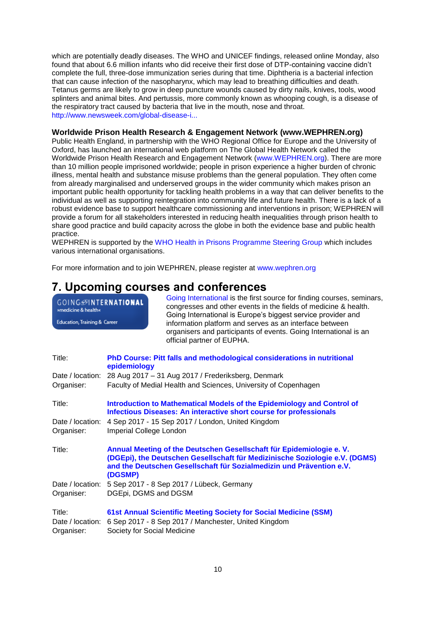which are potentially deadly diseases. The WHO and UNICEF findings, released online Monday, also found that about 6.6 million infants who did receive their first dose of DTP-containing vaccine didn't complete the full, three-dose immunization series during that time. Diphtheria is a bacterial infection that can cause infection of the nasopharynx, which may lead to breathing difficulties and death. Tetanus germs are likely to grow in deep puncture wounds caused by dirty nails, knives, tools, wood splinters and animal bites. And pertussis, more commonly known as whooping cough, is a disease of the respiratory tract caused by bacteria that live in the mouth, nose and throat. [http://www.newsweek.com/global-disease-i...](http://www.newsweek.com/global-disease-infants-vaccinated-2016-report-637832)

#### **Worldwide Prison Health Research & Engagement Network (www.WEPHREN.org)**

Public Health England, in partnership with the WHO Regional Office for Europe and the University of Oxford, has launched an international web platform on The Global Health Network called the Worldwide Prison Health Research and Engagement Network [\(www.WEPHREN.org\)](http://www.wephren.org/). There are more than 10 million people imprisoned worldwide; people in prison experience a higher burden of chronic illness, mental health and substance misuse problems than the general population. They often come from already marginalised and underserved groups in the wider community which makes prison an important public health opportunity for tackling health problems in a way that can deliver benefits to the individual as well as supporting reintegration into community life and future health. There is a lack of a robust evidence base to support healthcare commissioning and interventions in prison; WEPHREN will provide a forum for all stakeholders interested in reducing health inequalities through prison health to share good practice and build capacity across the globe in both the evidence base and public health practice.

WEPHREN is supported by the [WHO Health in Prisons Programme Steering Group](http://www.euro.who.int/en/health-topics/health-determinants/prisons-and-health/partners) which includes various international organisations.

For more information and to join WEPHREN, please register at [www.wephren.org](http://www.wephren.org/)

# <span id="page-9-0"></span>**7. Upcoming courses and conferences**

| GOING <b>MITERNATIONAL</b><br>»medicine & health« |                                                                                                                                                     | Going International is the first source for finding courses, seminars,<br>congresses and other events in the fields of medicine & health.<br>Going International is Europe's biggest service provider and                   |
|---------------------------------------------------|-----------------------------------------------------------------------------------------------------------------------------------------------------|-----------------------------------------------------------------------------------------------------------------------------------------------------------------------------------------------------------------------------|
| Education, Training & Career                      |                                                                                                                                                     | information platform and serves as an interface between<br>organisers and participants of events. Going International is an<br>official partner of EUPHA.                                                                   |
| Title:                                            | epidemiology                                                                                                                                        | PhD Course: Pitt falls and methodological considerations in nutritional                                                                                                                                                     |
|                                                   |                                                                                                                                                     | Date / location: 28 Aug 2017 - 31 Aug 2017 / Frederiksberg, Denmark                                                                                                                                                         |
| Organiser:                                        |                                                                                                                                                     | Faculty of Medial Health and Sciences, University of Copenhagen                                                                                                                                                             |
| Title:                                            | Introduction to Mathematical Models of the Epidemiology and Control of<br><b>Infectious Diseases: An interactive short course for professionals</b> |                                                                                                                                                                                                                             |
| Date / location:                                  |                                                                                                                                                     | 4 Sep 2017 - 15 Sep 2017 / London, United Kingdom                                                                                                                                                                           |
| Organiser:                                        | Imperial College London                                                                                                                             |                                                                                                                                                                                                                             |
| Title:                                            | (DGSMP)                                                                                                                                             | Annual Meeting of the Deutschen Gesellschaft für Epidemiologie e. V.<br>(DGEpi), the Deutschen Gesellschaft für Medizinische Soziologie e.V. (DGMS)<br>and the Deutschen Gesellschaft für Sozialmedizin und Prävention e.V. |
| Date / location:                                  |                                                                                                                                                     | 5 Sep 2017 - 8 Sep 2017 / Lübeck, Germany                                                                                                                                                                                   |
| Organiser:                                        |                                                                                                                                                     | DGEpi, DGMS and DGSM                                                                                                                                                                                                        |
| Title:                                            |                                                                                                                                                     | 61st Annual Scientific Meeting Society for Social Medicine (SSM)                                                                                                                                                            |
| Date / location:                                  |                                                                                                                                                     | 6 Sep 2017 - 8 Sep 2017 / Manchester, United Kingdom                                                                                                                                                                        |
| Organiser:                                        |                                                                                                                                                     | Society for Social Medicine                                                                                                                                                                                                 |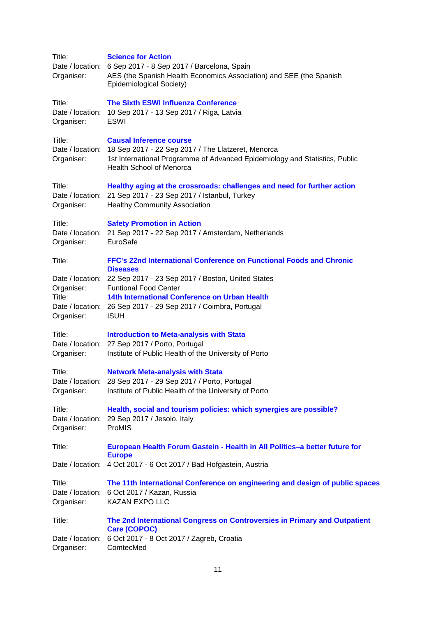| Title:<br>Organiser:                     | <b>Science for Action</b><br>Date / location: 6 Sep 2017 - 8 Sep 2017 / Barcelona, Spain<br>AES (the Spanish Health Economics Association) and SEE (the Spanish<br>Epidemiological Society)                                          |
|------------------------------------------|--------------------------------------------------------------------------------------------------------------------------------------------------------------------------------------------------------------------------------------|
| Title:<br>Date / location:<br>Organiser: | <b>The Sixth ESWI Influenza Conference</b><br>10 Sep 2017 - 13 Sep 2017 / Riga, Latvia<br>ESWI                                                                                                                                       |
| Title:<br>Organiser:                     | <b>Causal Inference course</b><br>Date / location: 18 Sep 2017 - 22 Sep 2017 / The Llatzeret, Menorca<br>1st International Programme of Advanced Epidemiology and Statistics, Public<br><b>Health School of Menorca</b>              |
| Title:<br>Organiser:                     | Healthy aging at the crossroads: challenges and need for further action<br>Date / location: 21 Sep 2017 - 23 Sep 2017 / Istanbul, Turkey<br><b>Healthy Community Association</b>                                                     |
| Title:<br>Organiser:                     | <b>Safety Promotion in Action</b><br>Date / location: 21 Sep 2017 - 22 Sep 2017 / Amsterdam, Netherlands<br>EuroSafe                                                                                                                 |
| Title:                                   | FFC's 22nd International Conference on Functional Foods and Chronic<br><b>Diseases</b>                                                                                                                                               |
| Organiser:<br>Title:<br>Organiser:       | Date / location: 22 Sep 2017 - 23 Sep 2017 / Boston, United States<br><b>Funtional Food Center</b><br>14th International Conference on Urban Health<br>Date / location: 26 Sep 2017 - 29 Sep 2017 / Coimbra, Portugal<br><b>ISUH</b> |
| Title:<br>Organiser:                     | <b>Introduction to Meta-analysis with Stata</b><br>Date / location: 27 Sep 2017 / Porto, Portugal<br>Institute of Public Health of the University of Porto                                                                           |
| Title:<br>Organiser:                     | <b>Network Meta-analysis with Stata</b><br>Date / location: 28 Sep 2017 - 29 Sep 2017 / Porto, Portugal<br>Institute of Public Health of the University of Porto                                                                     |
| Title:<br>Date / location:<br>Organiser: | Health, social and tourism policies: which synergies are possible?<br>29 Sep 2017 / Jesolo, Italy<br>ProMIS                                                                                                                          |
| Title:                                   | European Health Forum Gastein - Health in All Politics-a better future for                                                                                                                                                           |
|                                          | <b>Europe</b><br>Date / location: 4 Oct 2017 - 6 Oct 2017 / Bad Hofgastein, Austria                                                                                                                                                  |
| Title:<br>Organiser:                     | The 11th International Conference on engineering and design of public spaces<br>Date / location: 6 Oct 2017 / Kazan, Russia<br><b>KAZAN EXPO LLC</b>                                                                                 |
| Title:                                   | The 2nd International Congress on Controversies in Primary and Outpatient<br>Care (COPOC)                                                                                                                                            |
| Date / location:<br>Organiser:           | 6 Oct 2017 - 8 Oct 2017 / Zagreb, Croatia<br>ComtecMed                                                                                                                                                                               |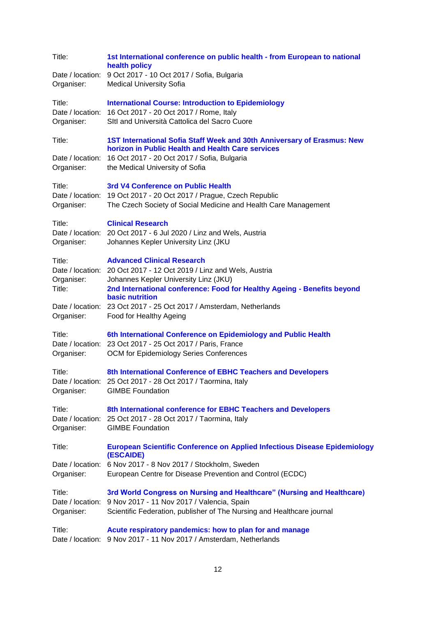| Title:<br>Organiser:                     | 1st International conference on public health - from European to national<br>health policy<br>Date / location: 9 Oct 2017 - 10 Oct 2017 / Sofia, Bulgaria<br><b>Medical University Sofia</b>                                                           |
|------------------------------------------|--------------------------------------------------------------------------------------------------------------------------------------------------------------------------------------------------------------------------------------------------------|
| Title:<br>Date / location:<br>Organiser: | <b>International Course: Introduction to Epidemiology</b><br>16 Oct 2017 - 20 Oct 2017 / Rome, Italy<br>SItl and Università Cattolica del Sacro Cuore                                                                                                  |
| Title:<br>Date / location:<br>Organiser: | 1ST International Sofia Staff Week and 30th Anniversary of Erasmus: New<br>horizon in Public Health and Health Care services<br>16 Oct 2017 - 20 Oct 2017 / Sofia, Bulgaria<br>the Medical University of Sofia                                         |
| Title:<br>Date / location:<br>Organiser: | 3rd V4 Conference on Public Health<br>19 Oct 2017 - 20 Oct 2017 / Prague, Czech Republic<br>The Czech Society of Social Medicine and Health Care Management                                                                                            |
| Title:<br>Organiser:                     | <b>Clinical Research</b><br>Date / location: 20 Oct 2017 - 6 Jul 2020 / Linz and Wels, Austria<br>Johannes Kepler University Linz (JKU                                                                                                                 |
| Title:<br>Organiser:<br>Title:           | <b>Advanced Clinical Research</b><br>Date / location: 20 Oct 2017 - 12 Oct 2019 / Linz and Wels, Austria<br>Johannes Kepler University Linz (JKU)<br>2nd International conference: Food for Healthy Ageing - Benefits beyond<br><b>basic nutrition</b> |
| Organiser:                               | Date / location: 23 Oct 2017 - 25 Oct 2017 / Amsterdam, Netherlands<br>Food for Healthy Ageing                                                                                                                                                         |
| Title:<br>Organiser:                     | 6th International Conference on Epidemiology and Public Health<br>Date / location: 23 Oct 2017 - 25 Oct 2017 / Paris, France<br>OCM for Epidemiology Series Conferences                                                                                |
| Title:<br>Organiser:                     | 8th International Conference of EBHC Teachers and Developers<br>Date / location: 25 Oct 2017 - 28 Oct 2017 / Taormina, Italy<br><b>GIMBE Foundation</b>                                                                                                |
| Title:<br>Organiser:                     | 8th International conference for EBHC Teachers and Developers<br>Date / location: 25 Oct 2017 - 28 Oct 2017 / Taormina, Italy<br><b>GIMBE Foundation</b>                                                                                               |
| Title:                                   | <b>European Scientific Conference on Applied Infectious Disease Epidemiology</b><br>(ESCAIDE)                                                                                                                                                          |
| Organiser:                               | Date / location: 6 Nov 2017 - 8 Nov 2017 / Stockholm, Sweden<br>European Centre for Disease Prevention and Control (ECDC)                                                                                                                              |
| Title:<br>Organiser:                     | 3rd World Congress on Nursing and Healthcare" (Nursing and Healthcare)<br>Date / location: 9 Nov 2017 - 11 Nov 2017 / Valencia, Spain<br>Scientific Federation, publisher of The Nursing and Healthcare journal                                        |
| Title:                                   | Acute respiratory pandemics: how to plan for and manage<br>Date / location: 9 Nov 2017 - 11 Nov 2017 / Amsterdam, Netherlands                                                                                                                          |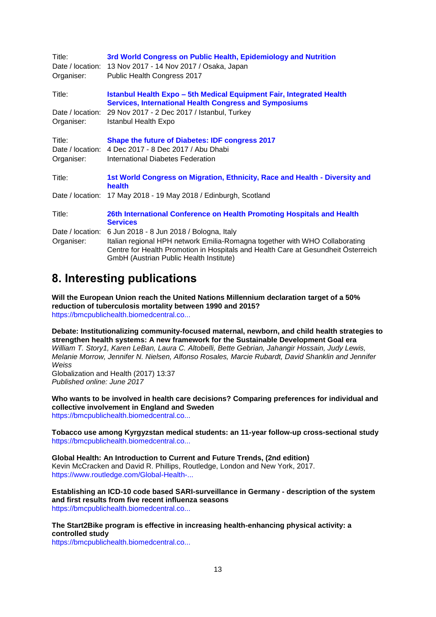| Title:<br>Organiser:           | 3rd World Congress on Public Health, Epidemiology and Nutrition<br>Date / location: 13 Nov 2017 - 14 Nov 2017 / Osaka, Japan<br>Public Health Congress 2017                                                 |
|--------------------------------|-------------------------------------------------------------------------------------------------------------------------------------------------------------------------------------------------------------|
| Title:                         | <b>Istanbul Health Expo - 5th Medical Equipment Fair, Integrated Health</b><br><b>Services, International Health Congress and Symposiums</b>                                                                |
| Date / location:<br>Organiser: | 29 Nov 2017 - 2 Dec 2017 / Istanbul, Turkey<br>Istanbul Health Expo                                                                                                                                         |
| Title:                         | <b>Shape the future of Diabetes: IDF congress 2017</b>                                                                                                                                                      |
| Date / location:               | 4 Dec 2017 - 8 Dec 2017 / Abu Dhabi                                                                                                                                                                         |
| Organiser:                     | International Diabetes Federation                                                                                                                                                                           |
| Title:                         | 1st World Congress on Migration, Ethnicity, Race and Health - Diversity and<br><b>health</b>                                                                                                                |
|                                | Date / location: 17 May 2018 - 19 May 2018 / Edinburgh, Scotland                                                                                                                                            |
| Title:                         | 26th International Conference on Health Promoting Hospitals and Health<br><b>Services</b>                                                                                                                   |
| Date / location:               | 6 Jun 2018 - 8 Jun 2018 / Bologna, Italy                                                                                                                                                                    |
| Organiser:                     | Italian regional HPH network Emilia-Romagna together with WHO Collaborating<br>Centre for Health Promotion in Hospitals and Health Care at Gesundheit Österreich<br>GmbH (Austrian Public Health Institute) |

# <span id="page-12-0"></span>**8. Interesting publications**

**Will the European Union reach the United Nations Millennium declaration target of a 50% reduction of tuberculosis mortality between 1990 and 2015?** [https://bmcpublichealth.biomedcentral.co...](https://bmcpublichealth.biomedcentral.com/articles/10.1186/s12889-017-4544-9)

**Debate: Institutionalizing community-focused maternal, newborn, and child health strategies to strengthen health systems: A new framework for the Sustainable Development Goal era**  *William T. Story1, Karen LeBan, Laura C. Altobelli, Bette Gebrian, Jahangir Hossain, Judy Lewis, Melanie Morrow, Jennifer N. Nielsen, Alfonso Rosales, Marcie Rubardt, David Shanklin and Jennifer Weiss*

Globalization and Health (2017) 13:37 *Published online: June 2017*

**Who wants to be involved in health care decisions? Comparing preferences for individual and collective involvement in England and Sweden** [https://bmcpublichealth.biomedcentral.co...](https://bmcpublichealth.biomedcentral.com/articles/10.1186/s12889-017-4534-y)

**Tobacco use among Kyrgyzstan medical students: an 11-year follow-up cross-sectional study** [https://bmcpublichealth.biomedcentral.co...](https://bmcpublichealth.biomedcentral.com/articles/10.1186/s12889-017-4547-6)

**Global Health: An Introduction to Current and Future Trends, (2nd edition)** Kevin McCracken and David R. Phillips, Routledge, London and New York, 2017. [https://www.routledge.com/Global-Health-...](https://www.routledge.com/Global-Health-An-Introduction-to-Current-and-Future-Trends/McCracken-Phillips/p/book/9781138912755)

**Establishing an ICD-10 code based SARI-surveillance in Germany - description of the system and first results from five recent influenza seasons** [https://bmcpublichealth.biomedcentral.co...](https://bmcpublichealth.biomedcentral.com/articles/10.1186/s12889-017-4515-1)

**The Start2Bike program is effective in increasing health-enhancing physical activity: a controlled study**

[https://bmcpublichealth.biomedcentral.co...](https://bmcpublichealth.biomedcentral.com/articles/10.1186/s12889-017-4523-1)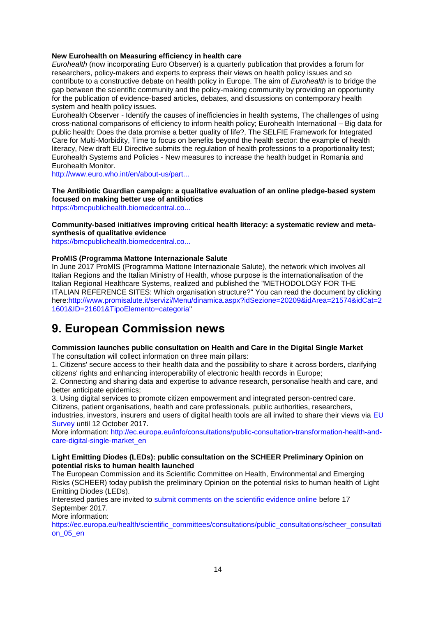### **New Eurohealth on Measuring efficiency in health care**

*Eurohealth* (now incorporating Euro Observer) is a quarterly publication that provides a forum for researchers, policy-makers and experts to express their views on health policy issues and so contribute to a constructive debate on health policy in Europe. The aim of *Eurohealth* is to bridge the gap between the scientific community and the policy-making community by providing an opportunity for the publication of evidence-based articles, debates, and discussions on contemporary health system and health policy issues.

Eurohealth Observer - Identify the causes of inefficiencies in health systems, The challenges of using cross-national comparisons of efficiency to inform health policy; Eurohealth International – Big data for public health: Does the data promise a better quality of life?, The SELFIE Framework for Integrated Care for Multi-Morbidity, Time to focus on benefits beyond the health sector: the example of health literacy, New draft EU Directive submits the regulation of health professions to a proportionality test; Eurohealth Systems and Policies - New measures to increase the health budget in Romania and Eurohealth Monitor.

[http://www.euro.who.int/en/about-us/part...](http://www.euro.who.int/en/about-us/partners/observatory/publications/eurohealth/full-list-of-past-issues/measuring-efficiency-in-health-care)

# **The Antibiotic Guardian campaign: a qualitative evaluation of an online pledge-based system focused on making better use of antibiotics**

[https://bmcpublichealth.biomedcentral.co...](https://bmcpublichealth.biomedcentral.com/articles/10.1186/s12889-017-4552-9)

#### **Community-based initiatives improving critical health literacy: a systematic review and metasynthesis of qualitative evidence**

[https://bmcpublichealth.biomedcentral.co...](https://bmcpublichealth.biomedcentral.com/articles/10.1186/s12889-017-4570-7)

### **ProMIS (Programma Mattone Internazionale Salute**

In June 2017 ProMIS (Programma Mattone Internazionale Salute), the network which involves all Italian Regions and the Italian Ministry of Health, whose purpose is the internationalisation of the Italian Regional Healthcare Systems, realized and published the "METHODOLOGY FOR THE ITALIAN REFERENCE SITES: Which organisation structure?" You can read the document by clicking here[:http://www.promisalute.it/servizi/Menu/dinamica.aspx?idSezione=20209&idArea=21574&idCat=2](http://www.promisalute.it/servizi/Menu/dinamica.aspx?idSezione=20209&idArea=21574&idCat=21601&ID=21601&TipoElemento=categoria) [1601&ID=21601&TipoElemento=categoria"](http://www.promisalute.it/servizi/Menu/dinamica.aspx?idSezione=20209&idArea=21574&idCat=21601&ID=21601&TipoElemento=categoria)

# <span id="page-13-0"></span>**9. European Commission news**

# **Commission launches public consultation on Health and Care in the Digital Single Market**

The consultation will collect information on three main pillars:

1. Citizens' secure access to their health data and the possibility to share it across borders, clarifying citizens' rights and enhancing interoperability of electronic health records in Europe;

2. Connecting and sharing data and expertise to advance research, personalise health and care, and better anticipate epidemics:

3. Using digital services to promote citizen empowerment and integrated person-centred care. Citizens, patient organisations, health and care professionals, public authorities, researchers,

industries, investors, insurers and users of digital health tools are all invited to share their views via EU [Survey](http://euphapedia.eupha.org/newsletter/https:/ec.europa.eu/eusurvey/runner/Public_consultation_Transformation_Health_Care_DSM) until 12 October 2017.

More information: [http://ec.europa.eu/info/consultations/public-consultation-transformation-health-and](http://ec.europa.eu/info/consultations/public-consultation-transformation-health-and-care-digital-single-market_en)[care-digital-single-market\\_en](http://ec.europa.eu/info/consultations/public-consultation-transformation-health-and-care-digital-single-market_en)

#### **Light Emitting Diodes (LEDs): public consultation on the SCHEER Preliminary Opinion on potential risks to human health launched**

The European Commission and its Scientific Committee on Health, Environmental and Emerging Risks (SCHEER) today publish the preliminary Opinion on the potential risks to human health of Light Emitting Diodes (LEDs).

Interested parties are invited to [submit comments on the scientific evidence online](https://ec.europa.eu/health/scientific_committees/consultations/public_consultations/scheer_consultation_05_en) before 17 September 2017.

More information:

[https://ec.europa.eu/health/scientific\\_committees/consultations/public\\_consultations/scheer\\_consultati](https://ec.europa.eu/health/scientific_committees/consultations/public_consultations/scheer_consultation_05_en) [on\\_05\\_en](https://ec.europa.eu/health/scientific_committees/consultations/public_consultations/scheer_consultation_05_en)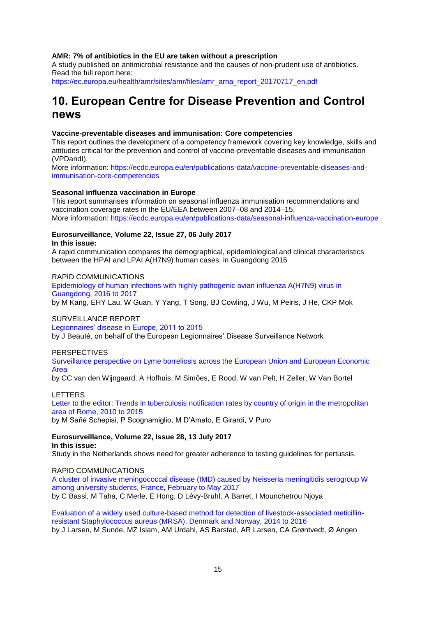#### **AMR: 7% of antibiotics in the EU are taken without a prescription**

A study published on antimicrobial resistance and the causes of non-prudent use of antibiotics. Read the full report here:

[https://ec.europa.eu/health/amr/sites/amr/files/amr\\_arna\\_report\\_20170717\\_en.pdf](https://ec.europa.eu/health/amr/sites/amr/files/amr_arna_report_20170717_en.pdf)

# <span id="page-14-0"></span>**10. European Centre for Disease Prevention and Control news**

#### **Vaccine-preventable diseases and immunisation: Core competencies**

This report outlines the development of a competency framework covering key knowledge, skills and attitudes critical for the prevention and control of vaccine-preventable diseases and immunisation (VPDandI).

More information: [https://ecdc.europa.eu/en/publications-data/vaccine-preventable-diseases-and](https://ecdc.europa.eu/en/publications-data/vaccine-preventable-diseases-and-immunisation-core-competencies)[immunisation-core-competencies](https://ecdc.europa.eu/en/publications-data/vaccine-preventable-diseases-and-immunisation-core-competencies)

#### **Seasonal influenza vaccination in Europe**

This report summarises information on seasonal influenza immunisation recommendations and vaccination coverage rates in the EU/EEA between 2007–08 and 2014–15. More information:<https://ecdc.europa.eu/en/publications-data/seasonal-influenza-vaccination-europe>

#### **Eurosurveillance, Volume 22, Issue 27, 06 July 2017 In this issue:**

A rapid communication compares the demographical, epidemiological and clinical characteristics between the HPAI and LPAI A(H7N9) human cases. in Guangdong 2016

#### RAPID COMMUNICATIONS

[Epidemiology of human infections with highly pathogenic avian influenza A\(H7N9\) virus in](http://www.eurosurveillance.org/ViewArticle.aspx?ArticleId=22830)  Guangdong, [2016 to 2017](http://www.eurosurveillance.org/ViewArticle.aspx?ArticleId=22830) by M Kang, EHY Lau, W Guan, Y Yang, T Song, BJ Cowling, J Wu, M Peiris, J He, CKP Mok

#### SURVEILLANCE REPORT

[Legionnaires' disease in Europe, 2011 to 2015](http://www.eurosurveillance.org/ViewArticle.aspx?ArticleId=22829)

by J Beauté, on behalf of the European Legionnaires' Disease Surveillance Network

#### PERSPECTIVES

Surveillance perspective on Lyme borreliosis [across the European Union and European Economic](http://www.eurosurveillance.org/ViewArticle.aspx?ArticleId=22831)  [Area](http://www.eurosurveillance.org/ViewArticle.aspx?ArticleId=22831)

by CC van den Wijngaard, A Hofhuis, M Simões, E Rood, W van Pelt, H Zeller, W Van Bortel

#### LETTERS

[Letter to the editor: Trends in tuberculosis notification rates by country of origin in the metropolitan](http://www.eurosurveillance.org/ViewArticle.aspx?ArticleId=22832)  [area of Rome, 2010 to 2015](http://www.eurosurveillance.org/ViewArticle.aspx?ArticleId=22832)

by M Sañé Schepisi, P Scognamiglio, M D'Amato, E Girardi, V Puro

#### **Eurosurveillance, Volume 22, Issue 28, 13 July 2017 In this issue:**

Study in the Netherlands shows need for greater adherence to testing guidelines for pertussis.

#### RAPID COMMUNICATIONS

[A cluster of invasive meningococcal disease \(IMD\) caused by Neisseria meningitidis serogroup W](http://www.eurosurveillance.org/ViewArticle.aspx?ArticleId=22836)  [among university students, France, February to May 2017](http://www.eurosurveillance.org/ViewArticle.aspx?ArticleId=22836) by C Bassi, M Taha, C Merle, E Hong, D Lévy-Bruhl, A Barret, I Mounchetrou Njoya

[Evaluation of a widely used culture-based method for detection of livestock-associated meticillin](http://www.eurosurveillance.org/ViewArticle.aspx?ArticleId=22835)[resistant Staphylococcus aureus \(MRSA\), Denmark and Norway, 2014 to 2016](http://www.eurosurveillance.org/ViewArticle.aspx?ArticleId=22835) by J Larsen, M Sunde, MZ Islam, AM Urdahl, AS Barstad, AR Larsen, CA Grøntvedt, Ø Angen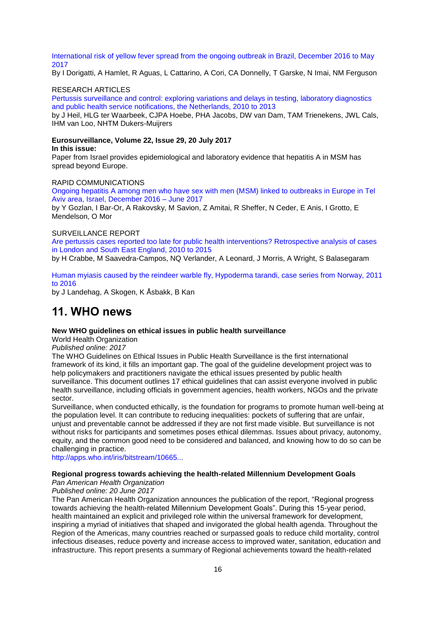[International risk of yellow fever spread from the ongoing outbreak in Brazil, December 2016 to May](http://www.eurosurveillance.org/ViewArticle.aspx?ArticleId=22834)  [2017](http://www.eurosurveillance.org/ViewArticle.aspx?ArticleId=22834)

By I Dorigatti, A Hamlet, R Aguas, L Cattarino, A Cori, CA Donnelly, T Garske, N Imai, NM Ferguson

#### RESEARCH ARTICLES

[Pertussis surveillance and control: exploring variations and delays in testing, laboratory diagnostics](http://www.eurosurveillance.org/ViewArticle.aspx?ArticleId=22833)  [and public health service notifications, the Netherlands, 2010 to 2013](http://www.eurosurveillance.org/ViewArticle.aspx?ArticleId=22833)

by J Heil, HLG ter Waarbeek, CJPA Hoebe, PHA Jacobs, DW van Dam, TAM Trienekens, JWL Cals, IHM van Loo, NHTM Dukers-Muijrers

#### **Eurosurveillance, Volume 22, Issue 29, 20 July 2017 In this issue:**

Paper from Israel provides epidemiological and laboratory evidence that hepatitis A in MSM has spread beyond Europe.

#### RAPID COMMUNICATIONS

[Ongoing hepatitis A among men who have sex with men \(MSM\) linked to outbreaks in Europe in Tel](http://www.eurosurveillance.org/ViewArticle.aspx?ArticleId=22840)  [Aviv area, Israel, December 2016 –](http://www.eurosurveillance.org/ViewArticle.aspx?ArticleId=22840) June 2017

by Y Gozlan, I Bar-Or, A Rakovsky, M Savion, Z Amitai, R Sheffer, N Ceder, E Anis, I Grotto, E Mendelson, O Mor

#### SURVEILLANCE REPORT

[Are pertussis cases reported too late for public health interventions? Retrospective analysis of cases](http://www.eurosurveillance.org/ViewArticle.aspx?ArticleId=22839)  [in London and South East England, 2010 to 2015](http://www.eurosurveillance.org/ViewArticle.aspx?ArticleId=22839)

by H Crabbe, M Saavedra-Campos, NQ Verlander, A Leonard, J Morris, A Wright, S Balasegaram

#### [Human myiasis caused by the reindeer warble fly, Hypoderma tarandi, case series from Norway, 2011](http://www.eurosurveillance.org/ViewArticle.aspx?ArticleId=22837)  [to 2016](http://www.eurosurveillance.org/ViewArticle.aspx?ArticleId=22837)

by J Landehag, A Skogen, K Åsbakk, B Kan

# <span id="page-15-0"></span>**11. WHO news**

#### **New WHO guidelines on ethical issues in public health surveillance**

World Health Organization

#### *Published online: 2017*

The WHO Guidelines on Ethical Issues in Public Health Surveillance is the first international framework of its kind, it fills an important gap. The goal of the guideline development project was to help policymakers and practitioners navigate the ethical issues presented by public health surveillance. This document outlines 17 ethical guidelines that can assist everyone involved in public health surveillance, including officials in government agencies, health workers, NGOs and the private sector.

Surveillance, when conducted ethically, is the foundation for programs to promote human well-being at the population level. It can contribute to reducing inequalities: pockets of suffering that are unfair, unjust and preventable cannot be addressed if they are not first made visible. But surveillance is not without risks for participants and sometimes poses ethical dilemmas. Issues about privacy, autonomy, equity, and the common good need to be considered and balanced, and knowing how to do so can be challenging in practice.

[http://apps.who.int/iris/bitstream/10665...](http://apps.who.int/iris/bitstream/10665/255721/1/9789241512657-eng.pdf?ua=1)

#### **Regional progress towards achieving the health-related Millennium Development Goals**

#### *Pan American Health Organization*

#### *Published online: 20 June 2017*

The Pan American Health Organization announces the publication of the report, "Regional progress towards achieving the health-related Millennium Development Goals". During this 15-year period, health maintained an explicit and privileged role within the universal framework for development, inspiring a myriad of initiatives that shaped and invigorated the global health agenda. Throughout the Region of the Americas, many countries reached or surpassed goals to reduce child mortality, control infectious diseases, reduce poverty and increase access to improved water, sanitation, education and infrastructure. This report presents a summary of Regional achievements toward the health-related